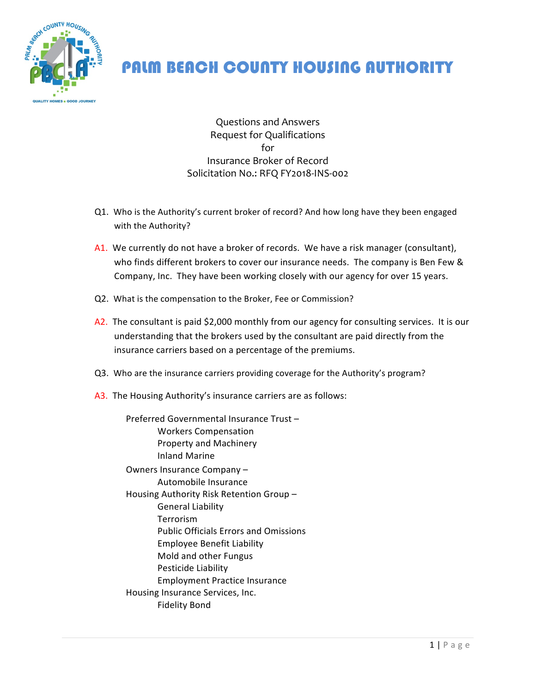

## PALM BEACH COUNTY HOUSING AUTHORITY

Questions and Answers Request for Qualifications for Insurance Broker of Record Solicitation No.: RFQ FY2018-INS-002

- Q1. Who is the Authority's current broker of record? And how long have they been engaged with the Authority?
- A1. We currently do not have a broker of records. We have a risk manager (consultant), who finds different brokers to cover our insurance needs. The company is Ben Few & Company, Inc. They have been working closely with our agency for over 15 years.
- Q2. What is the compensation to the Broker, Fee or Commission?
- A2. The consultant is paid \$2,000 monthly from our agency for consulting services. It is our understanding that the brokers used by the consultant are paid directly from the insurance carriers based on a percentage of the premiums.
- Q3. Who are the insurance carriers providing coverage for the Authority's program?
- A3. The Housing Authority's insurance carriers are as follows:

Preferred Governmental Insurance Trust-Workers Compensation Property and Machinery Inland Marine Owners Insurance Company -Automobile Insurance Housing Authority Risk Retention Group -General Liability Terrorism Public Officials Errors and Omissions Employee Benefit Liability Mold and other Fungus Pesticide Liability Employment Practice Insurance Housing Insurance Services, Inc. Fidelity Bond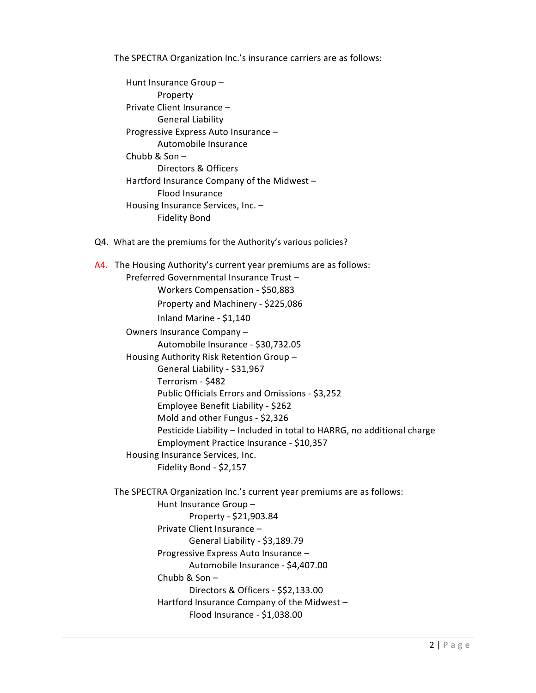The SPECTRA Organization Inc.'s insurance carriers are as follows:

Hunt Insurance Group -Property Private Client Insurance -General Liability Progressive Express Auto Insurance -Automobile Insurance Chubb &  $Son -$ Directors & Officers Hartford Insurance Company of the Midwest  $-$ Flood Insurance Housing Insurance Services, Inc.  $-$ **Fidelity Bond** 

Q4. What are the premiums for the Authority's various policies?

A4. The Housing Authority's current year premiums are as follows: Preferred Governmental Insurance Trust -Workers Compensation - \$50,883 Property and Machinery - \$225,086 Inland Marine - \$1,140 Owners Insurance Company -Automobile Insurance - \$30,732.05 Housing Authority Risk Retention Group -General Liability - \$31,967 Terrorism - \$482 Public Officials Errors and Omissions - \$3,252 Employee Benefit Liability - \$262 Mold and other Fungus - \$2,326 Pesticide Liability - Included in total to HARRG, no additional charge Employment Practice Insurance - \$10,357 Housing Insurance Services, Inc. Fidelity Bond - \$2,157 The SPECTRA Organization Inc.'s current year premiums are as follows: Hunt Insurance Group -Property - \$21,903.84 Private Client Insurance -General Liability - \$3,189.79 Progressive Express Auto Insurance -Automobile Insurance - \$4,407.00 Chubb & Son $-$ Directors & Officers - \$\$2,133.00 Hartford Insurance Company of the Midwest  $-$ Flood Insurance - \$1,038.00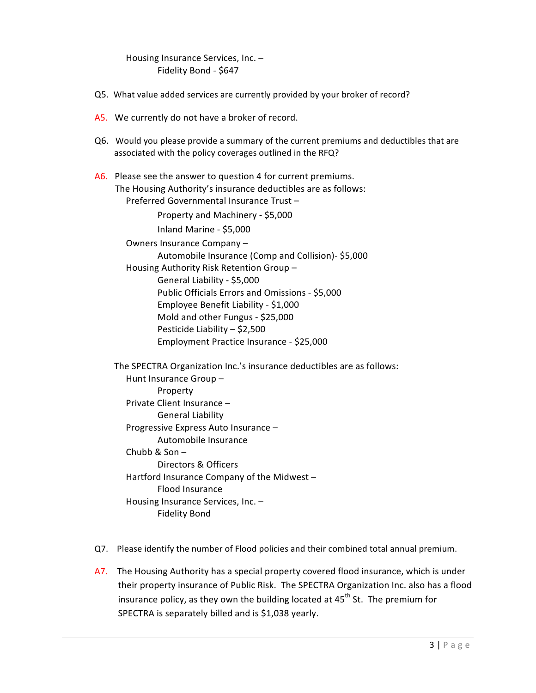Housing Insurance Services, Inc.  $-$ Fidelity Bond - \$647

- Q5. What value added services are currently provided by your broker of record?
- A5. We currently do not have a broker of record.
- Q6. Would you please provide a summary of the current premiums and deductibles that are associated with the policy coverages outlined in the RFQ?
- $A6.$  Please see the answer to question 4 for current premiums. The Housing Authority's insurance deductibles are as follows: Preferred Governmental Insurance Trust -

Property and Machinery - \$5,000 Inland Marine - \$5,000

Owners Insurance Company -Automobile Insurance (Comp and Collision)- \$5,000 Housing Authority Risk Retention Group -General Liability - \$5,000 Public Officials Errors and Omissions - \$5,000 Employee Benefit Liability - \$1,000 Mold and other Fungus - \$25,000 Pesticide Liability  $-$  \$2,500 Employment Practice Insurance - \$25,000

The SPECTRA Organization Inc.'s insurance deductibles are as follows: Hunt Insurance Group -Property Private Client Insurance -General Liability Progressive Express Auto Insurance -Automobile Insurance Chubb & Son $-$ Directors & Officers Hartford Insurance Company of the Midwest  $-$ Flood Insurance Housing Insurance Services, Inc.  $-$ Fidelity Bond

- Q7. Please identify the number of Flood policies and their combined total annual premium.
- A7. The Housing Authority has a special property covered flood insurance, which is under their property insurance of Public Risk. The SPECTRA Organization Inc. also has a flood insurance policy, as they own the building located at  $45^{th}$  St. The premium for SPECTRA is separately billed and is \$1,038 yearly.